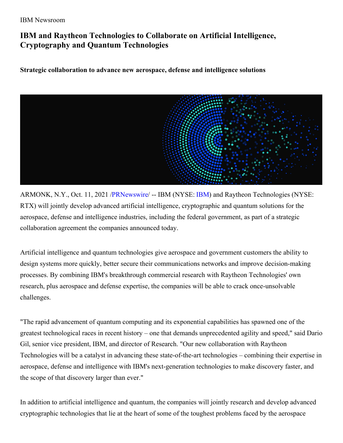## IBM Newsroom

# **IBM and Raytheon Technologies to Collaborate on Artificial Intelligence, Cryptography and Quantum Technologies**

## **Strategic collaboration to advance new aerospace, defense and intelligence solutions**



ARMONK, N.Y., Oct. 11, 2021 [/PRNewswire](http://www.prnewswire.com/)/ -- [IBM](https://c212.net/c/link/?t=0&l=en&o=3318134-1&h=2118906108&u=http%3A%2F%2Fwww.ibm.com%2Finvestor&a=IBM) (NYSE: IBM) and Raytheon Technologies (NYSE: RTX) will jointly develop advanced artificial intelligence, cryptographic and quantum solutions for the aerospace, defense and intelligence industries, including the federal government, as part of a strategic collaboration agreement the companies announced today.

Artificial intelligence and quantum technologies give aerospace and government customers the ability to design systems more quickly, better secure their communications networks and improve decision-making processes. By combining IBM's breakthrough commercial research with Raytheon Technologies' own research, plus aerospace and defense expertise, the companies will be able to crack once-unsolvable challenges.

"The rapid advancement of quantum computing and its exponential capabilities has spawned one of the greatest technological races in recent history – one that demands unprecedented agility and speed," said Dario Gil, senior vice president, IBM, and director of Research. "Our new collaboration with Raytheon Technologies will be a catalyst in advancing these state-of-the-art technologies – combining their expertise in aerospace, defense and intelligence with IBM's next-generation technologies to make discovery faster, and the scope of that discovery larger than ever."

In addition to artificial intelligence and quantum, the companies will jointly research and develop advanced cryptographic technologies that lie at the heart of some of the toughest problems faced by the aerospace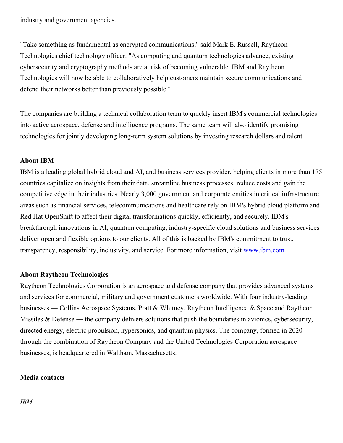industry and government agencies.

"Take something as fundamental as encrypted communications," said Mark E. Russell, Raytheon Technologies chief technology officer. "As computing and quantum technologies advance, existing cybersecurity and cryptography methods are at risk of becoming vulnerable. IBM and Raytheon Technologies will now be able to collaboratively help customers maintain secure communications and defend their networks better than previously possible."

The companies are building a technical collaboration team to quickly insert IBM's commercial technologies into active aerospace, defense and intelligence programs. The same team will also identify promising technologies for jointly developing long-term system solutions by investing research dollars and talent.

## **About IBM**

IBM is a leading global hybrid cloud and AI, and business services provider, helping clients in more than 175 countries capitalize on insights from their data, streamline business processes, reduce costs and gain the competitive edge in their industries. Nearly 3,000 government and corporate entities in critical infrastructure areas such as financial services, telecommunications and healthcare rely on IBM's hybrid cloud platform and Red Hat OpenShift to affect their digital transformations quickly, efficiently, and securely. IBM's breakthrough innovations in AI, quantum computing, industry-specific cloud solutions and business services deliver open and flexible options to our clients. All of this is backed by IBM's commitment to trust, transparency, responsibility, inclusivity, and service. For more information, visit [www.ibm.com](https://c212.net/c/link/?t=0&l=en&o=3318134-1&h=3790192294&u=https%3A%2F%2Fc212.net%2Fc%2Flink%2F%3Ft%3D0%26l%3Den%26o%3D3154235-1%26h%3D3195901305%26u%3Dhttp%253A%252F%252Fwww.ibm.com%252F%26a%3Dwww.ibm.com&a=www.ibm.com)

### **About Raytheon Technologies**

Raytheon Technologies Corporation is an aerospace and defense company that provides advanced systems and services for commercial, military and government customers worldwide. With four industry-leading businesses ― Collins Aerospace Systems, Pratt & Whitney, Raytheon Intelligence & Space and Raytheon Missiles & Defense — the company delivers solutions that push the boundaries in avionics, cybersecurity, directed energy, electric propulsion, hypersonics, and quantum physics. The company, formed in 2020 through the combination of Raytheon Company and the United Technologies Corporation aerospace businesses, is headquartered in Waltham, Massachusetts.

#### **Media contacts**